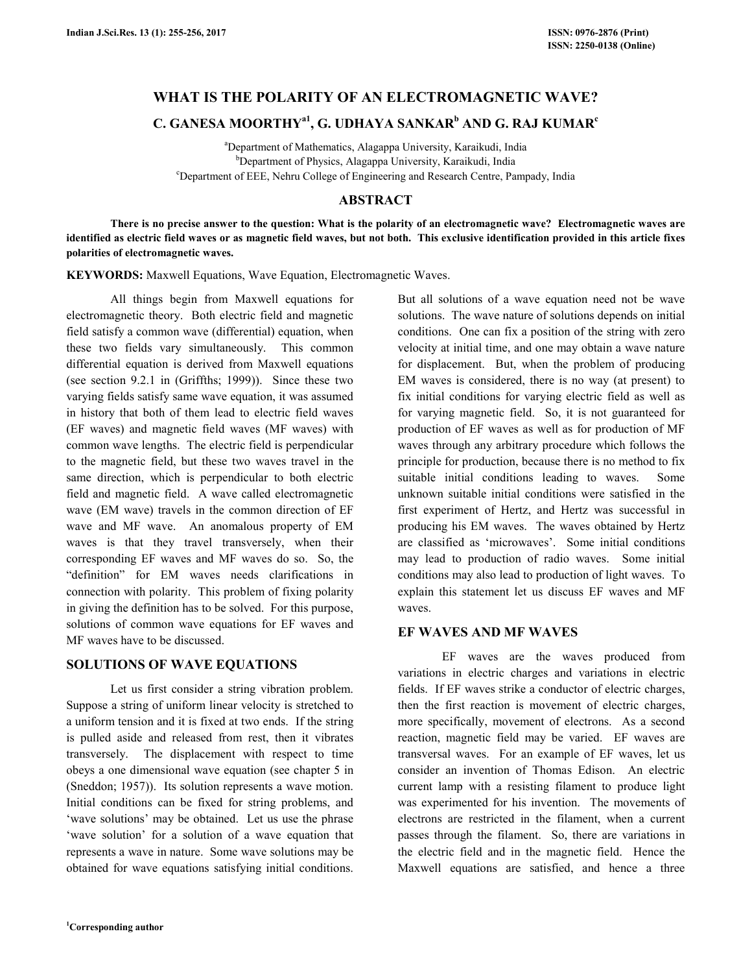# **WHAT IS THE POLARITY OF AN ELECTROMAGNETIC WAVE?**

# **C. GANESA MOORTHYa1, G. UDHAYA SANKAR<sup>b</sup> AND G. RAJ KUMAR<sup>c</sup>**

<sup>a</sup>Department of Mathematics, Alagappa University, Karaikudi, India b<sub>Department of Physics, Alagappa University, Karaikudi, India</sub> <sup>c</sup>Department of EEE, Nehru College of Engineering and Research Centre, Pampady, India

## **ABSTRACT**

 **There is no precise answer to the question: What is the polarity of an electromagnetic wave? Electromagnetic waves are identified as electric field waves or as magnetic field waves, but not both. This exclusive identification provided in this article fixes polarities of electromagnetic waves.** 

**KEYWORDS:** Maxwell Equations, Wave Equation, Electromagnetic Waves.

 All things begin from Maxwell equations for electromagnetic theory. Both electric field and magnetic field satisfy a common wave (differential) equation, when these two fields vary simultaneously. This common differential equation is derived from Maxwell equations (see section 9.2.1 in (Griffths; 1999)). Since these two varying fields satisfy same wave equation, it was assumed in history that both of them lead to electric field waves (EF waves) and magnetic field waves (MF waves) with common wave lengths. The electric field is perpendicular to the magnetic field, but these two waves travel in the same direction, which is perpendicular to both electric field and magnetic field. A wave called electromagnetic wave (EM wave) travels in the common direction of EF wave and MF wave. An anomalous property of EM waves is that they travel transversely, when their corresponding EF waves and MF waves do so. So, the "definition" for EM waves needs clarifications in connection with polarity. This problem of fixing polarity in giving the definition has to be solved. For this purpose, solutions of common wave equations for EF waves and MF waves have to be discussed.

## **SOLUTIONS OF WAVE EQUATIONS**

 Let us first consider a string vibration problem. Suppose a string of uniform linear velocity is stretched to a uniform tension and it is fixed at two ends. If the string is pulled aside and released from rest, then it vibrates transversely. The displacement with respect to time obeys a one dimensional wave equation (see chapter 5 in (Sneddon; 1957)). Its solution represents a wave motion. Initial conditions can be fixed for string problems, and 'wave solutions' may be obtained. Let us use the phrase 'wave solution' for a solution of a wave equation that represents a wave in nature. Some wave solutions may be obtained for wave equations satisfying initial conditions.

But all solutions of a wave equation need not be wave solutions. The wave nature of solutions depends on initial conditions. One can fix a position of the string with zero velocity at initial time, and one may obtain a wave nature for displacement. But, when the problem of producing EM waves is considered, there is no way (at present) to fix initial conditions for varying electric field as well as for varying magnetic field. So, it is not guaranteed for production of EF waves as well as for production of MF waves through any arbitrary procedure which follows the principle for production, because there is no method to fix suitable initial conditions leading to waves. Some unknown suitable initial conditions were satisfied in the first experiment of Hertz, and Hertz was successful in producing his EM waves. The waves obtained by Hertz are classified as 'microwaves'. Some initial conditions may lead to production of radio waves. Some initial conditions may also lead to production of light waves. To explain this statement let us discuss EF waves and MF waves.

## **EF WAVES AND MF WAVES**

 EF waves are the waves produced from variations in electric charges and variations in electric fields. If EF waves strike a conductor of electric charges, then the first reaction is movement of electric charges, more specifically, movement of electrons. As a second reaction, magnetic field may be varied. EF waves are transversal waves. For an example of EF waves, let us consider an invention of Thomas Edison. An electric current lamp with a resisting filament to produce light was experimented for his invention. The movements of electrons are restricted in the filament, when a current passes through the filament. So, there are variations in the electric field and in the magnetic field. Hence the Maxwell equations are satisfied, and hence a three